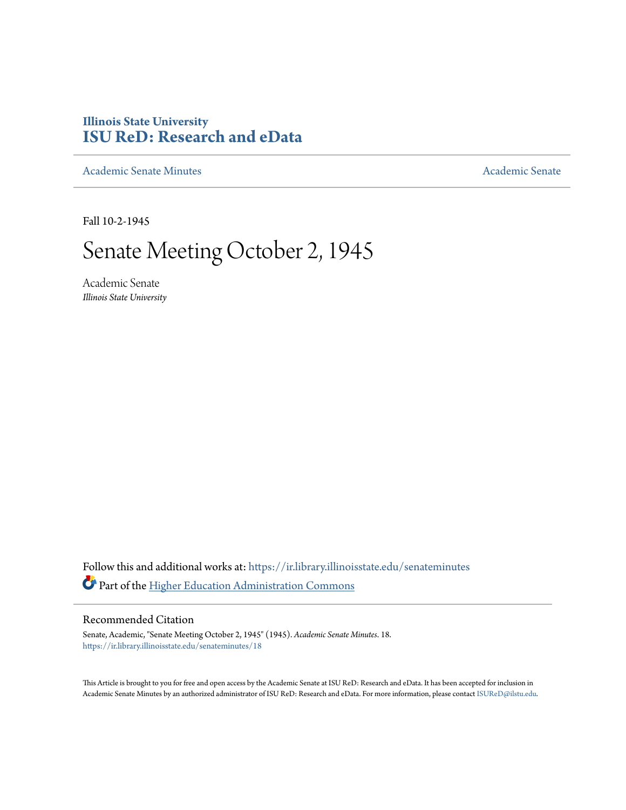## **Illinois State University [ISU ReD: Research and eData](https://ir.library.illinoisstate.edu?utm_source=ir.library.illinoisstate.edu%2Fsenateminutes%2F18&utm_medium=PDF&utm_campaign=PDFCoverPages)**

[Academic Senate Minutes](https://ir.library.illinoisstate.edu/senateminutes?utm_source=ir.library.illinoisstate.edu%2Fsenateminutes%2F18&utm_medium=PDF&utm_campaign=PDFCoverPages) [Academic Senate](https://ir.library.illinoisstate.edu/senate?utm_source=ir.library.illinoisstate.edu%2Fsenateminutes%2F18&utm_medium=PDF&utm_campaign=PDFCoverPages) Academic Senate Academic Senate

Fall 10-2-1945

## Senate Meeting October 2, 1945

Academic Senate *Illinois State University*

Follow this and additional works at: [https://ir.library.illinoisstate.edu/senateminutes](https://ir.library.illinoisstate.edu/senateminutes?utm_source=ir.library.illinoisstate.edu%2Fsenateminutes%2F18&utm_medium=PDF&utm_campaign=PDFCoverPages) Part of the [Higher Education Administration Commons](http://network.bepress.com/hgg/discipline/791?utm_source=ir.library.illinoisstate.edu%2Fsenateminutes%2F18&utm_medium=PDF&utm_campaign=PDFCoverPages)

## Recommended Citation

Senate, Academic, "Senate Meeting October 2, 1945" (1945). *Academic Senate Minutes*. 18. [https://ir.library.illinoisstate.edu/senateminutes/18](https://ir.library.illinoisstate.edu/senateminutes/18?utm_source=ir.library.illinoisstate.edu%2Fsenateminutes%2F18&utm_medium=PDF&utm_campaign=PDFCoverPages)

This Article is brought to you for free and open access by the Academic Senate at ISU ReD: Research and eData. It has been accepted for inclusion in Academic Senate Minutes by an authorized administrator of ISU ReD: Research and eData. For more information, please contact [ISUReD@ilstu.edu.](mailto:ISUReD@ilstu.edu)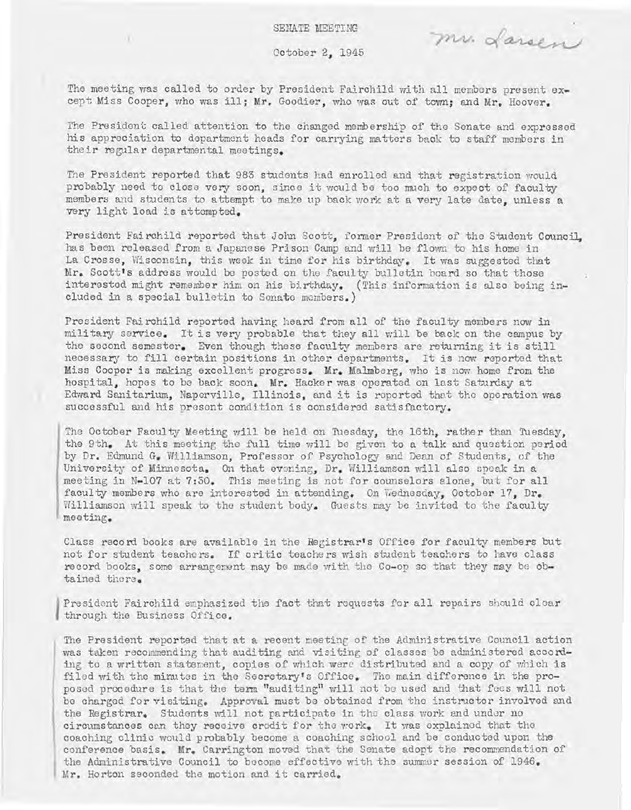mr. Larsen

Oc tober 2, 1945

The meeting was called to order by President Fairchild with all members present except Miss Cooper, who was ill; Mr. Goodier, who was out of town; and Mr. Hoover.

The President called attention to the changed membership of the Senate and expressed his appreciation to department heads for carrying matters back to staff members in their regular departmental meetings.

The President reported that 983 students had enrolled and that registration would probably need to close very soon, since it would be too much to expect of faculty members and students to attempt to make up back work at a very late date, unless a very light load is attempted.

President Fairchild reported that John Scott, former President of the Student Council, has been released from a Japanese Prison Camp and will be flown to his home in La Crosse, Wisconsin, this week in time for his birthday. It was suggested that Mr. Scott's address would be posted on the faculty bulletin board so that those interestod might remember him on his birthday. (This information is also being included in a special bulletin to Sonate members. )

President Fairchild reported having heard from all of the faculty members now in military service. It is very probable that they all will be back on the campus by the second semester. Even though these faculty members are returning it is still necessary to fill certain positions in other departments. It is now reported that Miss Cooper is making excellent progress. Mr. Malmberg, who is now home from the hospital, hopes to be back soon. Mr. Hacker was operated on last Saturday at Edward Sanitarium, Naperville, Illinois, and it is reported that the operation was successful and his presont condition is considerod satisfactory.

The October Faculty Meeting will be held on Tuesday, the 16th, rather than Tuesday, the 9th. At this meeting the full time will be given to a talk and question period by Dr. Edmund G. WIlliamson, Professor of Psychology and Dean of Students, of the University of Minnesota. On that evening, Dr. Williamson will also speak in a meeting in N-107 at 7:30. This meeting is not for counselors alone, but for all faculty members who are interested in attending. On Wednesday, October 17, Dr. Williamson will speak to the student body. Guests may be invited to the faculty meeting.

Class record books are available in the Registrar's Office for faculty members but not for student teachers. If critic teachers wish student teachers to have class record books, some arrangement may be made with the Co-op so that they may be obtained there.

President Fairchild emphasized the fact that requests for all repairs should clear through the Business Office.

The President reported that at a recent meeting of the Administrative Council action was taken recommending that auditing and visiting of classes be administered according to a written statement, copies of which were distributed and a copy of which is filed with the minutes in the Secretary's Office. The main difference in the proposed procedure is that the term "auditing" will not be used and that fees will not be charged for Visiting. Approval must be obtained from the instructor involved and the Registrar. Students will not participate in the class work and under no circumstances can they receive crodit for the work. It was explained that the coaching clinic would probably become a coaching school and be conducted upon the conference basis. Mr. Carrington moved that the Senate adopt the recommendation of the Administrative Council to become effective with the summer session of 1946. Mr. Horton seconded the motion and it carried.